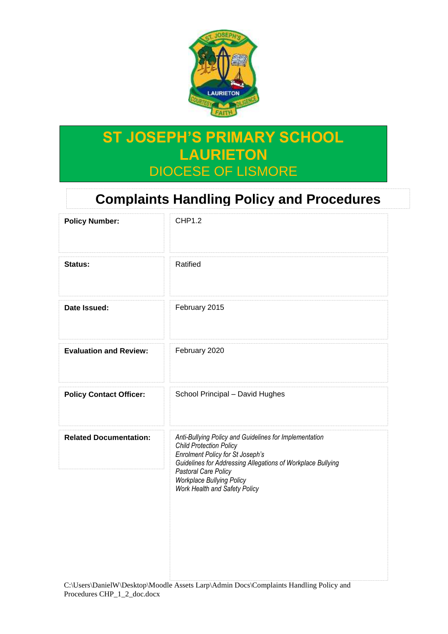

# **ST JOSEPH'S PRIMARY SCHOOL LAURIETON** DIOCESE OF LISMORE

# **Complaints Handling Policy and Procedures**

| <b>Policy Number:</b>          | <b>CHP1.2</b>                                                                                                                                                                                                                                                                            |
|--------------------------------|------------------------------------------------------------------------------------------------------------------------------------------------------------------------------------------------------------------------------------------------------------------------------------------|
| Status:                        | Ratified                                                                                                                                                                                                                                                                                 |
| Date Issued:                   | February 2015                                                                                                                                                                                                                                                                            |
| <b>Evaluation and Review:</b>  | February 2020                                                                                                                                                                                                                                                                            |
| <b>Policy Contact Officer:</b> | School Principal - David Hughes                                                                                                                                                                                                                                                          |
| <b>Related Documentation:</b>  | Anti-Bullying Policy and Guidelines for Implementation<br><b>Child Protection Policy</b><br><b>Enrolment Policy for St Joseph's</b><br>Guidelines for Addressing Allegations of Workplace Bullying<br>Pastoral Care Policy<br>Workplace Bullying Policy<br>Work Health and Safety Policy |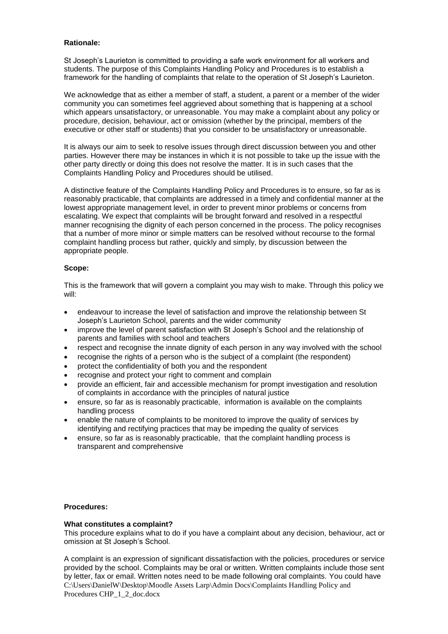### **Rationale:**

St Joseph's Laurieton is committed to providing a safe work environment for all workers and students. The purpose of this Complaints Handling Policy and Procedures is to establish a framework for the handling of complaints that relate to the operation of St Joseph's Laurieton.

We acknowledge that as either a member of staff, a student, a parent or a member of the wider community you can sometimes feel aggrieved about something that is happening at a school which appears unsatisfactory, or unreasonable. You may make a complaint about any policy or procedure, decision, behaviour, act or omission (whether by the principal, members of the executive or other staff or students) that you consider to be unsatisfactory or unreasonable.

It is always our aim to seek to resolve issues through direct discussion between you and other parties. However there may be instances in which it is not possible to take up the issue with the other party directly or doing this does not resolve the matter. It is in such cases that the Complaints Handling Policy and Procedures should be utilised.

A distinctive feature of the Complaints Handling Policy and Procedures is to ensure, so far as is reasonably practicable, that complaints are addressed in a timely and confidential manner at the lowest appropriate management level, in order to prevent minor problems or concerns from escalating. We expect that complaints will be brought forward and resolved in a respectful manner recognising the dignity of each person concerned in the process. The policy recognises that a number of more minor or simple matters can be resolved without recourse to the formal complaint handling process but rather, quickly and simply, by discussion between the appropriate people.

# **Scope:**

This is the framework that will govern a complaint you may wish to make. Through this policy we will:

- endeavour to increase the level of satisfaction and improve the relationship between St Joseph's Laurieton School, parents and the wider community
- improve the level of parent satisfaction with St Joseph's School and the relationship of parents and families with school and teachers
- respect and recognise the innate dignity of each person in any way involved with the school
- recognise the rights of a person who is the subject of a complaint (the respondent)
- protect the confidentiality of both you and the respondent
- recognise and protect your right to comment and complain
- provide an efficient, fair and accessible mechanism for prompt investigation and resolution of complaints in accordance with the principles of natural justice
- ensure, so far as is reasonably practicable, information is available on the complaints handling process
- enable the nature of complaints to be monitored to improve the quality of services by identifying and rectifying practices that may be impeding the quality of services
- ensure, so far as is reasonably practicable, that the complaint handling process is transparent and comprehensive

#### **Procedures:**

#### **What constitutes a complaint?**

This procedure explains what to do if you have a complaint about any decision, behaviour, act or omission at St Joseph's School.

C:\Users\DanielW\Desktop\Moodle Assets Larp\Admin Docs\Complaints Handling Policy and Procedures CHP\_1\_2\_doc.docx A complaint is an expression of significant dissatisfaction with the policies, procedures or service provided by the school. Complaints may be oral or written. Written complaints include those sent by letter, fax or email. Written notes need to be made following oral complaints. You could have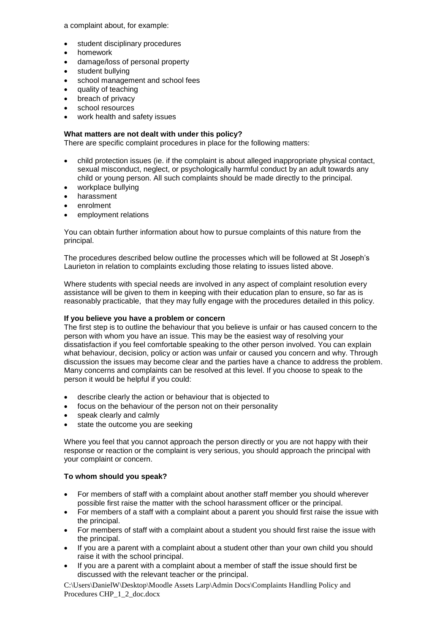a complaint about, for example:

- student disciplinary procedures
- homework
- damage/loss of personal property
- student bullying
- school management and school fees
- quality of teaching
- breach of privacy
- school resources
- work health and safety issues

# **What matters are not dealt with under this policy?**

There are specific complaint procedures in place for the following matters:

- child protection issues (ie. if the complaint is about alleged inappropriate physical contact, sexual misconduct, neglect, or psychologically harmful conduct by an adult towards any child or young person. All such complaints should be made directly to the principal.
- workplace bullying
- harassment
- enrolment
- employment relations

You can obtain further information about how to pursue complaints of this nature from the principal.

The procedures described below outline the processes which will be followed at St Joseph's Laurieton in relation to complaints excluding those relating to issues listed above.

Where students with special needs are involved in any aspect of complaint resolution every assistance will be given to them in keeping with their education plan to ensure, so far as is reasonably practicable, that they may fully engage with the procedures detailed in this policy.

#### **If you believe you have a problem or concern**

The first step is to outline the behaviour that you believe is unfair or has caused concern to the person with whom you have an issue. This may be the easiest way of resolving your dissatisfaction if you feel comfortable speaking to the other person involved. You can explain what behaviour, decision, policy or action was unfair or caused you concern and why. Through discussion the issues may become clear and the parties have a chance to address the problem. Many concerns and complaints can be resolved at this level. If you choose to speak to the person it would be helpful if you could:

- describe clearly the action or behaviour that is objected to
- focus on the behaviour of the person not on their personality
- speak clearly and calmly
- state the outcome you are seeking

Where you feel that you cannot approach the person directly or you are not happy with their response or reaction or the complaint is very serious, you should approach the principal with your complaint or concern.

#### **To whom should you speak?**

- For members of staff with a complaint about another staff member you should wherever possible first raise the matter with the school harassment officer or the principal.
- For members of a staff with a complaint about a parent you should first raise the issue with the principal.
- For members of staff with a complaint about a student you should first raise the issue with the principal.
- If you are a parent with a complaint about a student other than your own child you should raise it with the school principal.
- If you are a parent with a complaint about a member of staff the issue should first be discussed with the relevant teacher or the principal.

C:\Users\DanielW\Desktop\Moodle Assets Larp\Admin Docs\Complaints Handling Policy and Procedures CHP\_1\_2\_doc.docx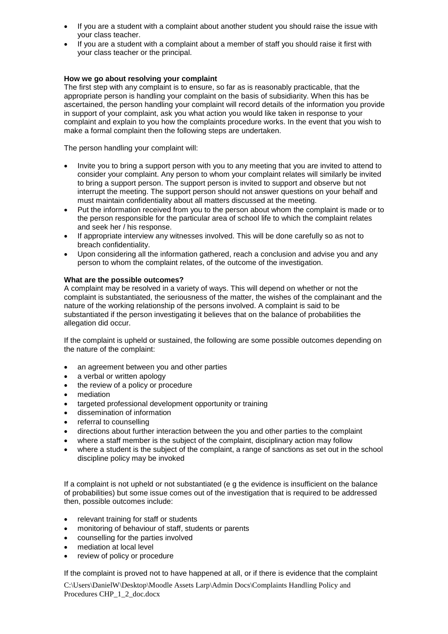- If you are a student with a complaint about another student you should raise the issue with your class teacher.
- If you are a student with a complaint about a member of staff you should raise it first with your class teacher or the principal.

# **How we go about resolving your complaint**

The first step with any complaint is to ensure, so far as is reasonably practicable, that the appropriate person is handling your complaint on the basis of subsidiarity. When this has be ascertained, the person handling your complaint will record details of the information you provide in support of your complaint, ask you what action you would like taken in response to your complaint and explain to you how the complaints procedure works. In the event that you wish to make a formal complaint then the following steps are undertaken.

The person handling your complaint will:

- Invite you to bring a support person with you to any meeting that you are invited to attend to consider your complaint. Any person to whom your complaint relates will similarly be invited to bring a support person. The support person is invited to support and observe but not interrupt the meeting. The support person should not answer questions on your behalf and must maintain confidentiality about all matters discussed at the meeting.
- Put the information received from you to the person about whom the complaint is made or to the person responsible for the particular area of school life to which the complaint relates and seek her / his response.
- If appropriate interview any witnesses involved. This will be done carefully so as not to breach confidentiality.
- Upon considering all the information gathered, reach a conclusion and advise you and any person to whom the complaint relates, of the outcome of the investigation.

#### **What are the possible outcomes?**

A complaint may be resolved in a variety of ways. This will depend on whether or not the complaint is substantiated, the seriousness of the matter, the wishes of the complainant and the nature of the working relationship of the persons involved. A complaint is said to be substantiated if the person investigating it believes that on the balance of probabilities the allegation did occur.

If the complaint is upheld or sustained, the following are some possible outcomes depending on the nature of the complaint:

- an agreement between you and other parties
- a verbal or written apology
- the review of a policy or procedure
- mediation
- targeted professional development opportunity or training
- dissemination of information
- referral to counselling
- directions about further interaction between the you and other parties to the complaint
- where a staff member is the subject of the complaint, disciplinary action may follow
- where a student is the subject of the complaint, a range of sanctions as set out in the school discipline policy may be invoked

If a complaint is not upheld or not substantiated (e g the evidence is insufficient on the balance of probabilities) but some issue comes out of the investigation that is required to be addressed then, possible outcomes include:

- relevant training for staff or students
- monitoring of behaviour of staff, students or parents
- counselling for the parties involved
- mediation at local level
- review of policy or procedure

If the complaint is proved not to have happened at all, or if there is evidence that the complaint

C:\Users\DanielW\Desktop\Moodle Assets Larp\Admin Docs\Complaints Handling Policy and Procedures CHP\_1\_2\_doc.docx